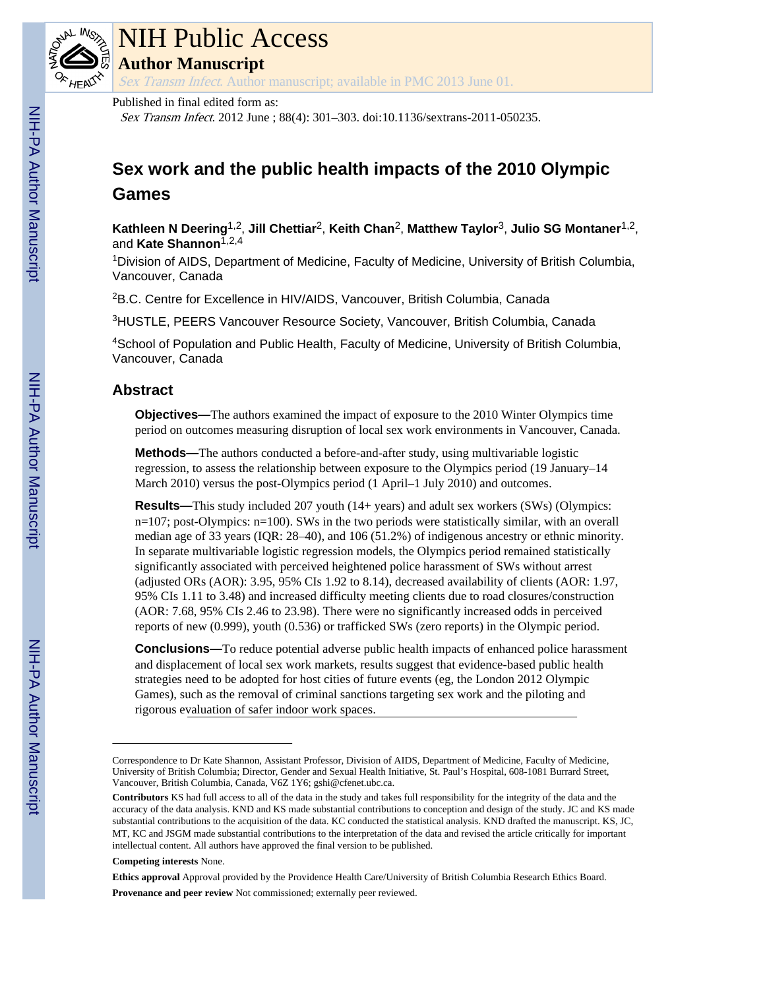

# NIH Public Access

**Author Manuscript**

Sex Transm Infect. Author manuscript; available in PMC 2013 June 01.

#### Published in final edited form as:

Sex Transm Infect. 2012 June ; 88(4): 301–303. doi:10.1136/sextrans-2011-050235.

## **Sex work and the public health impacts of the 2010 Olympic Games**

**Kathleen N Deering**1,2, **Jill Chettiar**2, **Keith Chan**2, **Matthew Taylor**3, **Julio SG Montaner**1,2, and Kate Shannon<sup>1,2,4</sup>

<sup>1</sup>Division of AIDS, Department of Medicine, Faculty of Medicine, University of British Columbia, Vancouver, Canada

<sup>2</sup>B.C. Centre for Excellence in HIV/AIDS, Vancouver, British Columbia, Canada

<sup>3</sup>HUSTLE, PEERS Vancouver Resource Society, Vancouver, British Columbia, Canada

<sup>4</sup>School of Population and Public Health, Faculty of Medicine, University of British Columbia, Vancouver, Canada

### **Abstract**

**Objectives—**The authors examined the impact of exposure to the 2010 Winter Olympics time period on outcomes measuring disruption of local sex work environments in Vancouver, Canada.

**Methods—**The authors conducted a before-and-after study, using multivariable logistic regression, to assess the relationship between exposure to the Olympics period (19 January–14 March 2010) versus the post-Olympics period (1 April–1 July 2010) and outcomes.

**Results—**This study included 207 youth (14+ years) and adult sex workers (SWs) (Olympics: n=107; post-Olympics: n=100). SWs in the two periods were statistically similar, with an overall median age of 33 years (IQR: 28–40), and 106 (51.2%) of indigenous ancestry or ethnic minority. In separate multivariable logistic regression models, the Olympics period remained statistically significantly associated with perceived heightened police harassment of SWs without arrest (adjusted ORs (AOR): 3.95, 95% CIs 1.92 to 8.14), decreased availability of clients (AOR: 1.97, 95% CIs 1.11 to 3.48) and increased difficulty meeting clients due to road closures/construction (AOR: 7.68, 95% CIs 2.46 to 23.98). There were no significantly increased odds in perceived reports of new (0.999), youth (0.536) or trafficked SWs (zero reports) in the Olympic period.

**Conclusions—**To reduce potential adverse public health impacts of enhanced police harassment and displacement of local sex work markets, results suggest that evidence-based public health strategies need to be adopted for host cities of future events (eg, the London 2012 Olympic Games), such as the removal of criminal sanctions targeting sex work and the piloting and rigorous evaluation of safer indoor work spaces.

#### **Competing interests** None.

**Ethics approval** Approval provided by the Providence Health Care/University of British Columbia Research Ethics Board.

**Provenance and peer review** Not commissioned; externally peer reviewed.

Correspondence to Dr Kate Shannon, Assistant Professor, Division of AIDS, Department of Medicine, Faculty of Medicine, University of British Columbia; Director, Gender and Sexual Health Initiative, St. Paul's Hospital, 608-1081 Burrard Street, Vancouver, British Columbia, Canada, V6Z 1Y6; gshi@cfenet.ubc.ca.

**Contributors** KS had full access to all of the data in the study and takes full responsibility for the integrity of the data and the accuracy of the data analysis. KND and KS made substantial contributions to conception and design of the study. JC and KS made substantial contributions to the acquisition of the data. KC conducted the statistical analysis. KND drafted the manuscript. KS, JC, MT, KC and JSGM made substantial contributions to the interpretation of the data and revised the article critically for important intellectual content. All authors have approved the final version to be published.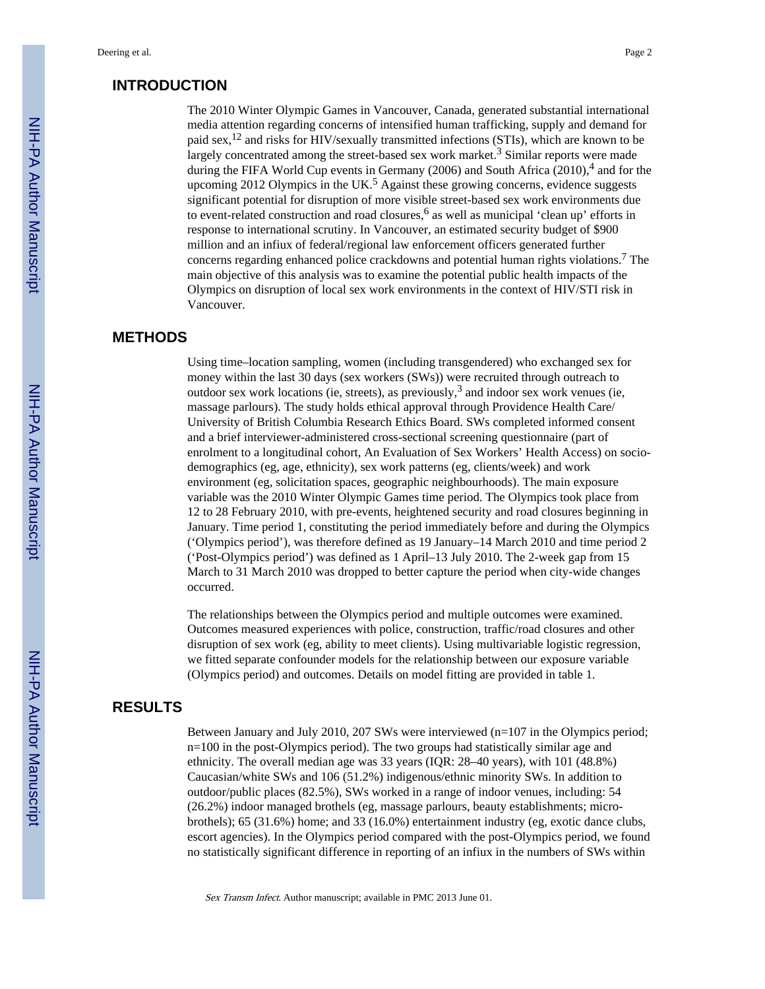#### **INTRODUCTION**

The 2010 Winter Olympic Games in Vancouver, Canada, generated substantial international media attention regarding concerns of intensified human trafficking, supply and demand for paid sex,12 and risks for HIV/sexually transmitted infections (STIs), which are known to be largely concentrated among the street-based sex work market.<sup>3</sup> Similar reports were made during the FIFA World Cup events in Germany (2006) and South Africa (2010),<sup>4</sup> and for the upcoming 2012 Olympics in the UK.<sup>5</sup> Against these growing concerns, evidence suggests significant potential for disruption of more visible street-based sex work environments due to event-related construction and road closures, <sup>6</sup> as well as municipal 'clean up' efforts in response to international scrutiny. In Vancouver, an estimated security budget of \$900 million and an infiux of federal/regional law enforcement officers generated further concerns regarding enhanced police crackdowns and potential human rights violations.<sup>7</sup> The main objective of this analysis was to examine the potential public health impacts of the Olympics on disruption of local sex work environments in the context of HIV/STI risk in Vancouver.

#### **METHODS**

Using time–location sampling, women (including transgendered) who exchanged sex for money within the last 30 days (sex workers (SWs)) were recruited through outreach to outdoor sex work locations (ie, streets), as previously,  $3$  and indoor sex work venues (ie, massage parlours). The study holds ethical approval through Providence Health Care/ University of British Columbia Research Ethics Board. SWs completed informed consent and a brief interviewer-administered cross-sectional screening questionnaire (part of enrolment to a longitudinal cohort, An Evaluation of Sex Workers' Health Access) on sociodemographics (eg, age, ethnicity), sex work patterns (eg, clients/week) and work environment (eg, solicitation spaces, geographic neighbourhoods). The main exposure variable was the 2010 Winter Olympic Games time period. The Olympics took place from 12 to 28 February 2010, with pre-events, heightened security and road closures beginning in January. Time period 1, constituting the period immediately before and during the Olympics ('Olympics period'), was therefore defined as 19 January–14 March 2010 and time period 2 ('Post-Olympics period') was defined as 1 April–13 July 2010. The 2-week gap from 15 March to 31 March 2010 was dropped to better capture the period when city-wide changes occurred.

The relationships between the Olympics period and multiple outcomes were examined. Outcomes measured experiences with police, construction, traffic/road closures and other disruption of sex work (eg, ability to meet clients). Using multivariable logistic regression, we fitted separate confounder models for the relationship between our exposure variable (Olympics period) and outcomes. Details on model fitting are provided in table 1.

#### **RESULTS**

Between January and July 2010, 207 SWs were interviewed (n=107 in the Olympics period; n=100 in the post-Olympics period). The two groups had statistically similar age and ethnicity. The overall median age was 33 years (IQR: 28–40 years), with 101 (48.8%) Caucasian/white SWs and 106 (51.2%) indigenous/ethnic minority SWs. In addition to outdoor/public places (82.5%), SWs worked in a range of indoor venues, including: 54 (26.2%) indoor managed brothels (eg, massage parlours, beauty establishments; microbrothels); 65 (31.6%) home; and 33 (16.0%) entertainment industry (eg, exotic dance clubs, escort agencies). In the Olympics period compared with the post-Olympics period, we found no statistically significant difference in reporting of an infiux in the numbers of SWs within

Sex Transm Infect. Author manuscript; available in PMC 2013 June 01.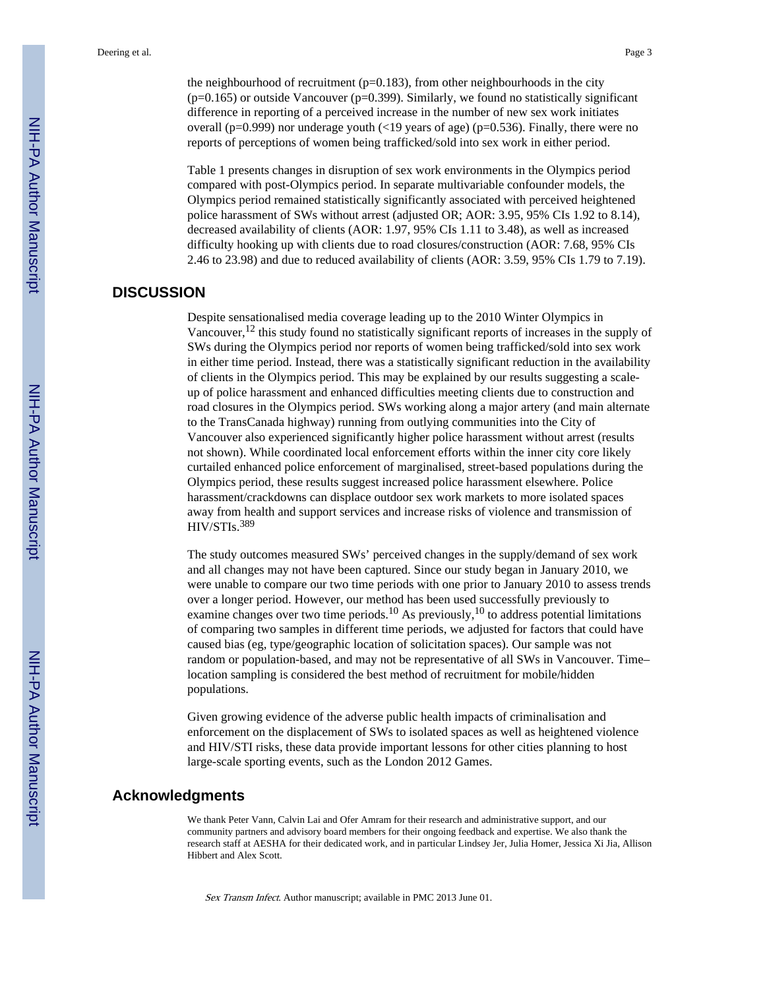the neighbourhood of recruitment  $(p=0.183)$ , from other neighbourhoods in the city  $(p=0.165)$  or outside Vancouver  $(p=0.399)$ . Similarly, we found no statistically significant difference in reporting of a perceived increase in the number of new sex work initiates overall ( $p=0.999$ ) nor underage youth (<19 years of age) ( $p=0.536$ ). Finally, there were no reports of perceptions of women being trafficked/sold into sex work in either period.

Table 1 presents changes in disruption of sex work environments in the Olympics period compared with post-Olympics period. In separate multivariable confounder models, the Olympics period remained statistically significantly associated with perceived heightened police harassment of SWs without arrest (adjusted OR; AOR: 3.95, 95% CIs 1.92 to 8.14), decreased availability of clients (AOR: 1.97, 95% CIs 1.11 to 3.48), as well as increased difficulty hooking up with clients due to road closures/construction (AOR: 7.68, 95% CIs 2.46 to 23.98) and due to reduced availability of clients (AOR: 3.59, 95% CIs 1.79 to 7.19).

#### **DISCUSSION**

Despite sensationalised media coverage leading up to the 2010 Winter Olympics in Vancouver,12 this study found no statistically significant reports of increases in the supply of SWs during the Olympics period nor reports of women being trafficked/sold into sex work in either time period. Instead, there was a statistically significant reduction in the availability of clients in the Olympics period. This may be explained by our results suggesting a scaleup of police harassment and enhanced difficulties meeting clients due to construction and road closures in the Olympics period. SWs working along a major artery (and main alternate to the TransCanada highway) running from outlying communities into the City of Vancouver also experienced significantly higher police harassment without arrest (results not shown). While coordinated local enforcement efforts within the inner city core likely curtailed enhanced police enforcement of marginalised, street-based populations during the Olympics period, these results suggest increased police harassment elsewhere. Police harassment/crackdowns can displace outdoor sex work markets to more isolated spaces away from health and support services and increase risks of violence and transmission of HIV/STIs.<sup>389</sup>

The study outcomes measured SWs' perceived changes in the supply/demand of sex work and all changes may not have been captured. Since our study began in January 2010, we were unable to compare our two time periods with one prior to January 2010 to assess trends over a longer period. However, our method has been used successfully previously to examine changes over two time periods.<sup>10</sup> As previously,<sup>10</sup> to address potential limitations of comparing two samples in different time periods, we adjusted for factors that could have caused bias (eg, type/geographic location of solicitation spaces). Our sample was not random or population-based, and may not be representative of all SWs in Vancouver. Time– location sampling is considered the best method of recruitment for mobile/hidden populations.

Given growing evidence of the adverse public health impacts of criminalisation and enforcement on the displacement of SWs to isolated spaces as well as heightened violence and HIV/STI risks, these data provide important lessons for other cities planning to host large-scale sporting events, such as the London 2012 Games.

#### **Acknowledgments**

We thank Peter Vann, Calvin Lai and Ofer Amram for their research and administrative support, and our community partners and advisory board members for their ongoing feedback and expertise. We also thank the research staff at AESHA for their dedicated work, and in particular Lindsey Jer, Julia Homer, Jessica Xi Jia, Allison Hibbert and Alex Scott.

Sex Transm Infect. Author manuscript; available in PMC 2013 June 01.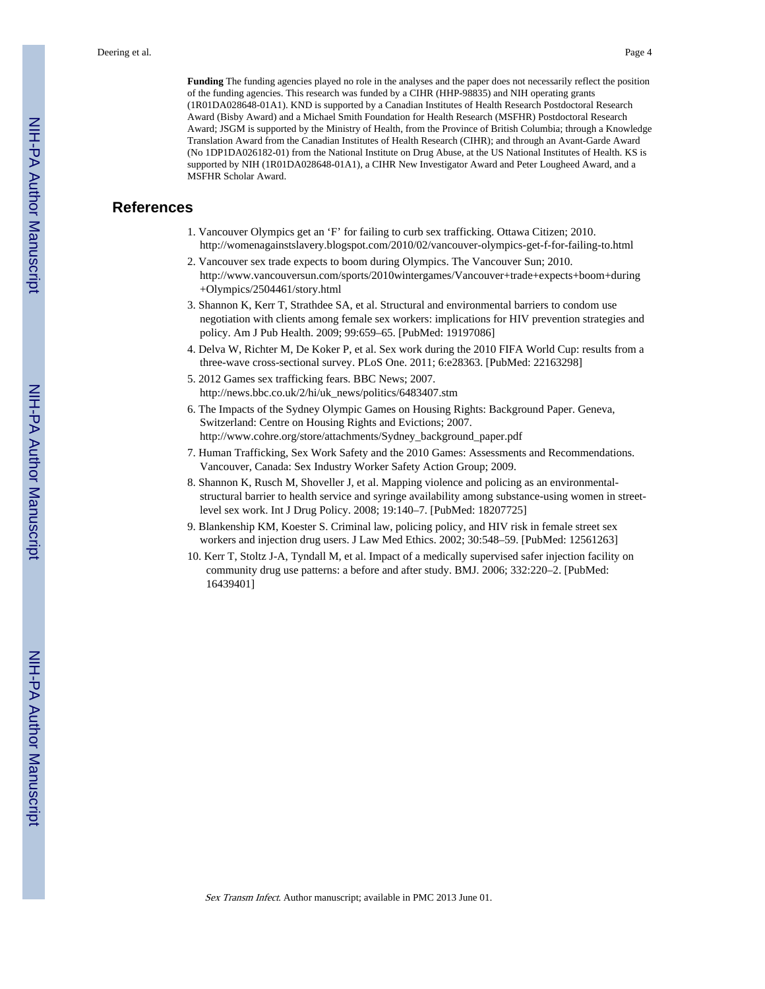**Funding** The funding agencies played no role in the analyses and the paper does not necessarily reflect the position of the funding agencies. This research was funded by a CIHR (HHP-98835) and NIH operating grants (1R01DA028648-01A1). KND is supported by a Canadian Institutes of Health Research Postdoctoral Research Award (Bisby Award) and a Michael Smith Foundation for Health Research (MSFHR) Postdoctoral Research Award; JSGM is supported by the Ministry of Health, from the Province of British Columbia; through a Knowledge Translation Award from the Canadian Institutes of Health Research (CIHR); and through an Avant-Garde Award (No 1DP1DA026182-01) from the National Institute on Drug Abuse, at the US National Institutes of Health. KS is supported by NIH (1R01DA028648-01A1), a CIHR New Investigator Award and Peter Lougheed Award, and a MSFHR Scholar Award.

#### **References**

- 1. Vancouver Olympics get an 'F' for failing to curb sex trafficking. Ottawa Citizen; 2010. <http://womenagainstslavery.blogspot.com/2010/02/vancouver-olympics-get-f-for-failing-to.html>
- 2. Vancouver sex trade expects to boom during Olympics. The Vancouver Sun; 2010. [http://www.vancouversun.com/sports/2010wintergames/Vancouver+trade+expects+boom+during](http://www.vancouversun.com/sports/2010wintergames/Vancouver+trade+expects+boom+during+Olympics/2504461/story.html) [+Olympics/2504461/story.html](http://www.vancouversun.com/sports/2010wintergames/Vancouver+trade+expects+boom+during+Olympics/2504461/story.html)
- 3. Shannon K, Kerr T, Strathdee SA, et al. Structural and environmental barriers to condom use negotiation with clients among female sex workers: implications for HIV prevention strategies and policy. Am J Pub Health. 2009; 99:659–65. [PubMed: 19197086]
- 4. Delva W, Richter M, De Koker P, et al. Sex work during the 2010 FIFA World Cup: results from a three-wave cross-sectional survey. PLoS One. 2011; 6:e28363. [PubMed: 22163298]
- 5. 2012 Games sex trafficking fears. BBC News; 2007. [http://news.bbc.co.uk/2/hi/uk\\_news/politics/6483407.stm](http://news.bbc.co.uk/2/hi/uk_news/politics/6483407.stm)
- 6. The Impacts of the Sydney Olympic Games on Housing Rights: Background Paper. Geneva, Switzerland: Centre on Housing Rights and Evictions; 2007. [http://www.cohre.org/store/attachments/Sydney\\_background\\_paper.pdf](http://www.cohre.org/store/attachments/Sydney_background_paper.pdf)
- 7. Human Trafficking, Sex Work Safety and the 2010 Games: Assessments and Recommendations. Vancouver, Canada: Sex Industry Worker Safety Action Group; 2009.
- 8. Shannon K, Rusch M, Shoveller J, et al. Mapping violence and policing as an environmentalstructural barrier to health service and syringe availability among substance-using women in streetlevel sex work. Int J Drug Policy. 2008; 19:140–7. [PubMed: 18207725]
- 9. Blankenship KM, Koester S. Criminal law, policing policy, and HIV risk in female street sex workers and injection drug users. J Law Med Ethics. 2002; 30:548–59. [PubMed: 12561263]
- 10. Kerr T, Stoltz J-A, Tyndall M, et al. Impact of a medically supervised safer injection facility on community drug use patterns: a before and after study. BMJ. 2006; 332:220–2. [PubMed: 16439401]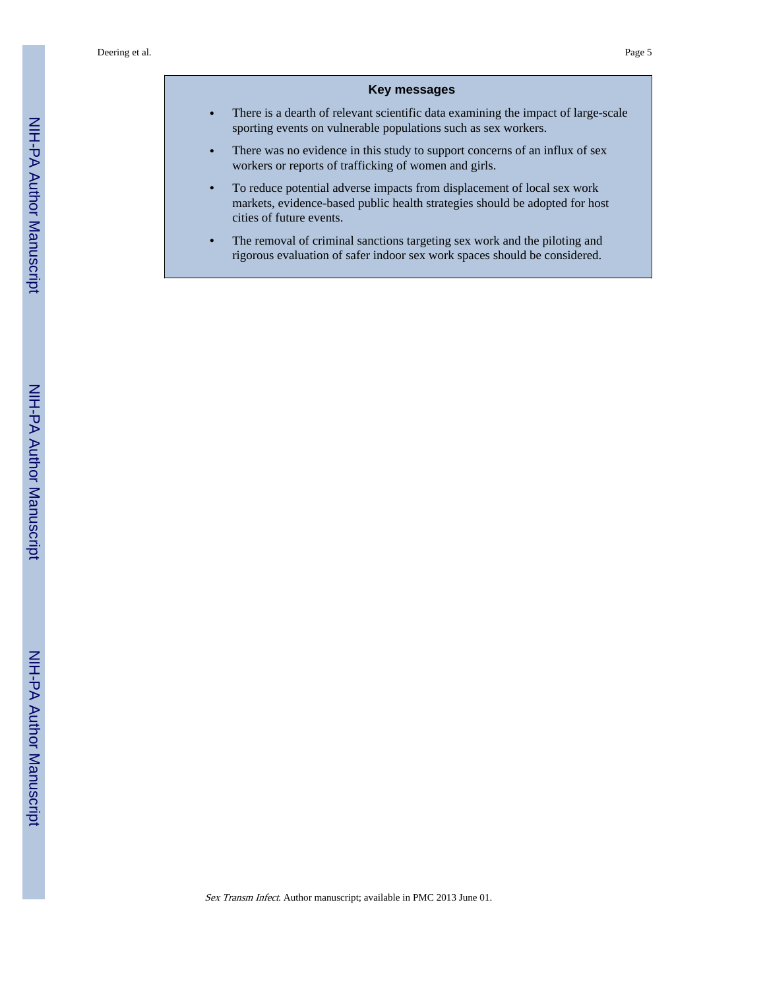#### **Key messages**

- **•** There is a dearth of relevant scientific data examining the impact of large-scale sporting events on vulnerable populations such as sex workers.
- **•** There was no evidence in this study to support concerns of an influx of sex workers or reports of trafficking of women and girls.
- **•** To reduce potential adverse impacts from displacement of local sex work markets, evidence-based public health strategies should be adopted for host cities of future events.
- **•** The removal of criminal sanctions targeting sex work and the piloting and rigorous evaluation of safer indoor sex work spaces should be considered.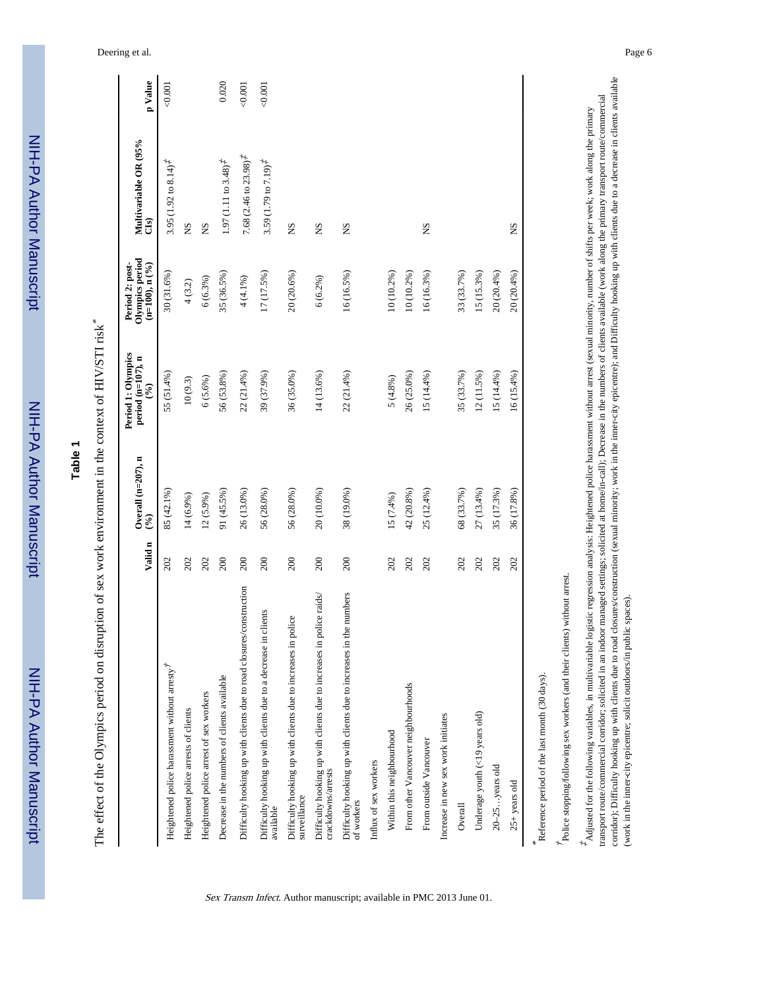|                                                                                            | Valid n | Overall $(n=207)$ , n<br>(96) | Period 1: Olympics<br>period (n=107), n<br>$(°_0)$ | Olympics period<br>Period 2: post-<br>$(n=100)$ , n $(%$ | Multivariable OR (95%<br>Cls)                           | p Value |
|--------------------------------------------------------------------------------------------|---------|-------------------------------|----------------------------------------------------|----------------------------------------------------------|---------------------------------------------------------|---------|
| Heightened police harassment without arresty <sup>7</sup>                                  | 202     | 85 (42.1%)                    | 55 (51.4%)                                         | 30 (31.6%)                                               | 3.95 (1.92 to 8.14) <sup><math>#</math></sup>           | 0.001   |
| Heightened police arrests of clients                                                       | 202     | 14 (6.9%)                     | $10\ (9.3)$                                        | $4(3.2)$                                                 | SN                                                      |         |
| Heightened police arrest of sex workers                                                    | 202     | $12(5.9\%)$                   | $6(5.6\%)$                                         | 6(6.3%)                                                  | <b>NS</b>                                               |         |
| Decrease in the numbers of clients available                                               | 200     | 91 (45.5%)                    | 56 (53.8%)                                         | 35 (36.5%)                                               | 1.97 (1.11 to $3.48$ ) <sup><math>\ddagger</math></sup> | 0.020   |
| Difficulty hooking up with clients due to road closures/construction                       | 200     | 26 (13.0%)                    | $22(21.4\%)$                                       | $4(4.1\%)$                                               | 7.68 $(2.46 \text{ to } 23.98)^{\text{*}}$              | 0.001   |
| Difficulty hooking up with clients due to a decrease in clients<br>available               | 200     | 56 (28.0%)                    | 39 (37.9%)                                         | 17 (17.5%)                                               | $3.59(1.79 \text{ to } 7.19)^{\frac{4}{4}}$             | 0.001   |
| Difficulty hooking up with clients due to increases in police<br>surveillance              | 200     | 56 (28.0%)                    | 36 (35.0%)                                         | 20 (20.6%)                                               | SN                                                      |         |
| Difficulty hooking up with clients due to increases in police raids/<br>crackdowns/arrests | 200     | 20 (10.0%)                    | 14 (13.6%)                                         | $6(6.2\%)$                                               | SN                                                      |         |
| Difficulty hooking up with clients due to increases in the numbers<br>of workers           | 200     | 38 (19.0%)                    | 22 (21.4%)                                         | 16 (16.5%)                                               | SN                                                      |         |
| Influx of sex workers                                                                      |         |                               |                                                    |                                                          |                                                         |         |
| Within this neighbourhood                                                                  | 202     | $15(7.4\%)$                   | $5(4.8\%)$                                         | 10 (10.2%)                                               |                                                         |         |
| From other Vancouver neighbourhoods                                                        | 202     | 42 (20.8%)                    | 26 (25.0%)                                         | 10 (10.2%)                                               |                                                         |         |
| From outside Vancouver                                                                     | 202     | 25 (12.4%)                    | 15 (14.4%)                                         | 16 (16.3%)                                               | <b>NS</b>                                               |         |
| Increase in new sex work initiates                                                         |         |                               |                                                    |                                                          |                                                         |         |
| Overall                                                                                    | 202     | 68 (33.7%)                    | 35 (33.7%)                                         | 33 (33.7%)                                               |                                                         |         |
| Underage youth (<19 years old)                                                             | 202     | 27 (13.4%)                    | 12 (11.5%)                                         | 15 (15.3%)                                               |                                                         |         |
| 20-25years old                                                                             | 202     | 35 (17.3%)                    | 15 (14.4%)                                         | 20 (20.4%)                                               |                                                         |         |
| $25+$ years old                                                                            | 202     | 36 (17.8%)                    | $16(15.4\%)$                                       | 20 (20.4%)                                               | <b>SN</b>                                               |         |

 ${\rm \acute{P}olice}$  stopping/following sex workers (and their clients) without arrest. Police stopping/following sex workers (and their clients) without arrest.

corridor); Difficulty hooking up with clients due to road closures/construction (sexual minority; work in the inner-city epicentre); and Difficulty hooking up with clients due to a decrease in clients available corridor); Difficulty hooking up with clients due to road closures/construction (sexual minority; work in the inner-city epicentre); and Difficulty hooking up with clients decrease in clients available transport route/commercial corridor; solicited in an indoor managed settings; solicited at home/in-call); Decrease in the numbers of clients available (work along the primary transport route/commercial transport route/commercial corridor; solicited in an indoor managed settings; solicited at home/in-call); Decrease in the numbers of clients available (work along the primary transport route/commercial  $\frac{1}{2}$  Adjusted for the following variables, in multivariable logistic regression analysis: Heightened police harassment without arrest (sexual minority, number of shifts per week; work along the primary  $^*$ Adjusted for the following variables, in multivariable logistic regression analysis: Heightened police harassment without arrest (sexual minority, number of shifts per week; work along the primary (work in the inner-city epicentre; solicit outdoors/in public spaces). (work in the inner-city epicentre; solicit outdoors/in public spaces).

Deering et al. Page 6

NIH-PA Author Manuscript NIH-PA Author Manuscript

> NIH-PA Author ManuscriptNIH-PA Author Manuscript

**Table 1**

Sex Transm Infect. Author manuscript; available in PMC 2013 June 01.